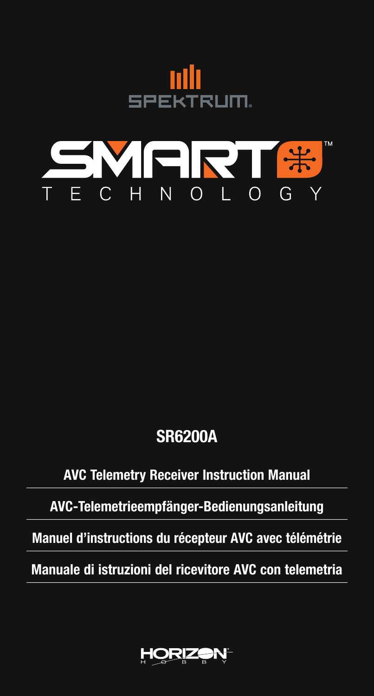



# SR6200A

## AVC Telemetry Receiver Instruction Manual

AVC-Telemetrieempfänger-Bedienungsanleitung

Manuel d'instructions du récepteur AVC avec télémétrie

Manuale di istruzioni del ricevitore AVC con telemetria

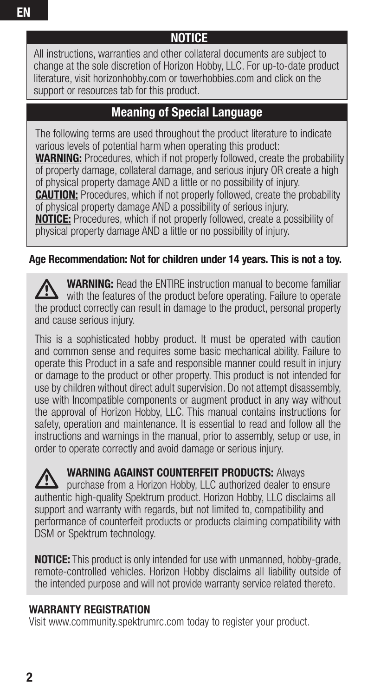#### **NOTICE**

All instructions, warranties and other collateral documents are subject to change at the sole discretion of Horizon Hobby, LLC. For up-to-date product literature, visit horizonhobby.com or towerhobbies.com and click on the support or resources tab for this product.

#### Meaning of Special Language

The following terms are used throughout the product literature to indicate various levels of potential harm when operating this product:

WARNING: Procedures, which if not properly followed, create the probability of property damage, collateral damage, and serious injury OR create a high of physical property damage AND a little or no possibility of injury.

**CAUTION:** Procedures, which if not properly followed, create the probability of physical property damage AND a possibility of serious injury.

NOTICE: Procedures, which if not properly followed, create a possibility of physical property damage AND a little or no possibility of injury.

#### Age Recommendation: Not for children under 14 years. This is not a toy.

WARNING: Read the ENTIRE instruction manual to become familiar with the features of the product before operating. Failure to operate the product correctly can result in damage to the product, personal property and cause serious injury.

This is a sophisticated hobby product. It must be operated with caution and common sense and requires some basic mechanical ability. Failure to operate this Product in a safe and responsible manner could result in injury or damage to the product or other property. This product is not intended for use by children without direct adult supervision. Do not attempt disassembly, use with Incompatible components or augment product in any way without the approval of Horizon Hobby, LLC. This manual contains instructions for safety, operation and maintenance. It is essential to read and follow all the instructions and warnings in the manual, prior to assembly, setup or use, in order to operate correctly and avoid damage or serious injury.

WARNING AGAINST COUNTERFEIT PRODUCTS: Always purchase from a Horizon Hobby, LLC authorized dealer to ensure authentic high-quality Spektrum product. Horizon Hobby, LLC disclaims all support and warranty with regards, but not limited to, compatibility and performance of counterfeit products or products claiming compatibility with DSM or Spektrum technology.

NOTICE: This product is only intended for use with unmanned, hobby-grade, remote-controlled vehicles. Horizon Hobby disclaims all liability outside of the intended purpose and will not provide warranty service related thereto.

#### WARRANTY REGISTRATION

Visit www.community.spektrumrc.com today to register your product.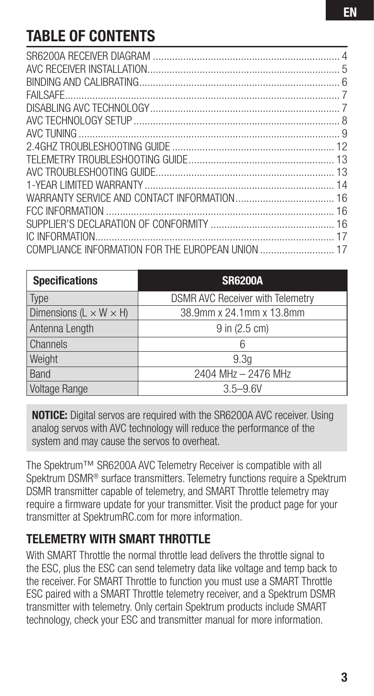# TABLE OF CONTENTS

| <b>Specifications</b>                | <b>SR6200A</b>                          |  |  |
|--------------------------------------|-----------------------------------------|--|--|
| Type                                 | <b>DSMR AVC Receiver with Telemetry</b> |  |  |
| Dimensions ( $L \times W \times H$ ) | 38.9mm x 24.1mm x 13.8mm                |  |  |
| Antenna Length                       | 9 in (2.5 cm)                           |  |  |
| <b>Channels</b>                      | 6                                       |  |  |
| Weight                               | 9.3 <sub>q</sub>                        |  |  |
| Band                                 | 2404 MHz - 2476 MHz                     |  |  |
| Voltage Range                        | $3.5 - 9.6V$                            |  |  |

NOTICE: Digital servos are required with the SR6200A AVC receiver. Using analog servos with AVC technology will reduce the performance of the system and may cause the servos to overheat.

The Spektrum™ SR6200A AVC Telemetry Receiver is compatible with all Spektrum DSMR<sup>®</sup> surface transmitters. Telemetry functions require a Spektrum DSMR transmitter capable of telemetry, and SMART Throttle telemetry may require a firmware update for your transmitter. Visit the product page for your transmitter at SpektrumRC.com for more information.

#### TELEMETRY WITH SMART THROTTLE

With SMART Throttle the normal throttle lead delivers the throttle signal to the ESC, plus the ESC can send telemetry data like voltage and temp back to the receiver. For SMART Throttle to function you must use a SMART Throttle ESC paired with a SMART Throttle telemetry receiver, and a Spektrum DSMR transmitter with telemetry. Only certain Spektrum products include SMART technology, check your ESC and transmitter manual for more information.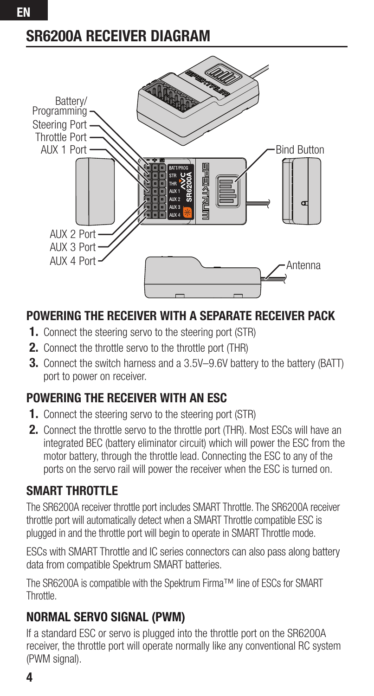# SR6200A RECEIVER DIAGRAM



## POWERING THE RECEIVER WITH A SEPARATE RECEIVER PACK

- 1. Connect the steering servo to the steering port (STR)
- 2. Connect the throttle servo to the throttle port (THR)
- **3.** Connect the switch harness and a 3.5V–9.6V battery to the battery (BATT) port to power on receiver.

## POWERING THE RECEIVER WITH AN ESC

- 1. Connect the steering servo to the steering port (STR)
- 2. Connect the throttle servo to the throttle port (THR). Most ESCs will have an integrated BEC (battery eliminator circuit) which will power the ESC from the motor battery, through the throttle lead. Connecting the ESC to any of the ports on the servo rail will power the receiver when the ESC is turned on.

## SMART THROTTLE

The SR6200A receiver throttle port includes SMART Throttle. The SR6200A receiver throttle port will automatically detect when a SMART Throttle compatible ESC is plugged in and the throttle port will begin to operate in SMART Throttle mode.

ESCs with SMART Throttle and IC series connectors can also pass along battery data from compatible Spektrum SMART batteries.

The SR6200A is compatible with the Spektrum Firma™ line of ESCs for SMART Throttle.

## NORMAL SERVO SIGNAL (PWM)

If a standard ESC or servo is plugged into the throttle port on the SR6200A receiver, the throttle port will operate normally like any conventional RC system (PWM signal).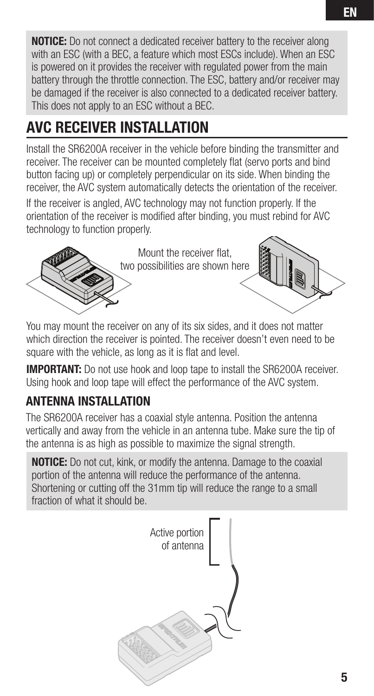NOTICE: Do not connect a dedicated receiver battery to the receiver along with an ESC (with a BEC, a feature which most ESCs include). When an ESC is powered on it provides the receiver with regulated power from the main battery through the throttle connection. The ESC, battery and/or receiver may be damaged if the receiver is also connected to a dedicated receiver battery. This does not apply to an ESC without a BEC.

# AVC RECEIVER INSTALLATION

Install the SR6200A receiver in the vehicle before binding the transmitter and receiver. The receiver can be mounted completely flat (servo ports and bind button facing up) or completely perpendicular on its side. When binding the receiver, the AVC system automatically detects the orientation of the receiver.

If the receiver is angled, AVC technology may not function properly. If the orientation of the receiver is modified after binding, you must rebind for AVC technology to function properly.



Mount the receiver flat, two possibilities are shown here

You may mount the receiver on any of its six sides, and it does not matter

which direction the receiver is pointed. The receiver doesn't even need to be square with the vehicle, as long as it is flat and level.

**IMPORTANT:** Do not use hook and loop tape to install the SR6200A receiver. Using hook and loop tape will effect the performance of the AVC system.

## ANTENNA INSTALLATION

The SR6200A receiver has a coaxial style antenna. Position the antenna vertically and away from the vehicle in an antenna tube. Make sure the tip of the antenna is as high as possible to maximize the signal strength.

**NOTICE:** Do not cut, kink, or modify the antenna. Damage to the coaxial portion of the antenna will reduce the performance of the antenna. Shortening or cutting off the 31mm tip will reduce the range to a small fraction of what it should be.

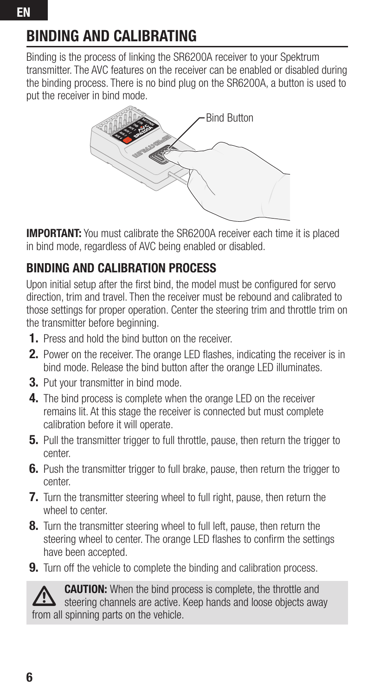# BINDING AND CALIBRATING

Binding is the process of linking the SR6200A receiver to your Spektrum transmitter. The AVC features on the receiver can be enabled or disabled during the binding process. There is no bind plug on the SR6200A, a button is used to put the receiver in bind mode.



**IMPORTANT:** You must calibrate the SR6200A receiver each time it is placed in bind mode, regardless of AVC being enabled or disabled.

## BINDING AND CALIBRATION PROCESS

Upon initial setup after the first bind, the model must be configured for servo direction, trim and travel. Then the receiver must be rebound and calibrated to those settings for proper operation. Center the steering trim and throttle trim on the transmitter before beginning.

- 1. Press and hold the bind button on the receiver.
- **2.** Power on the receiver. The orange LED flashes, indicating the receiver is in bind mode. Release the bind button after the orange LED illuminates.
- 3. Put your transmitter in bind mode.
- 4. The bind process is complete when the orange LED on the receiver remains lit. At this stage the receiver is connected but must complete calibration before it will operate.
- **5.** Pull the transmitter trigger to full throttle, pause, then return the trigger to center.
- **6.** Push the transmitter trigger to full brake, pause, then return the trigger to center.
- **7.** Turn the transmitter steering wheel to full right, pause, then return the wheel to center.
- **8.** Turn the transmitter steering wheel to full left, pause, then return the steering wheel to center. The orange LED flashes to confirm the settings have been accepted.
- **9.** Turn off the vehicle to complete the binding and calibration process.



CAUTION: When the bind process is complete, the throttle and steering channels are active. Keep hands and loose objects away from all spinning parts on the vehicle.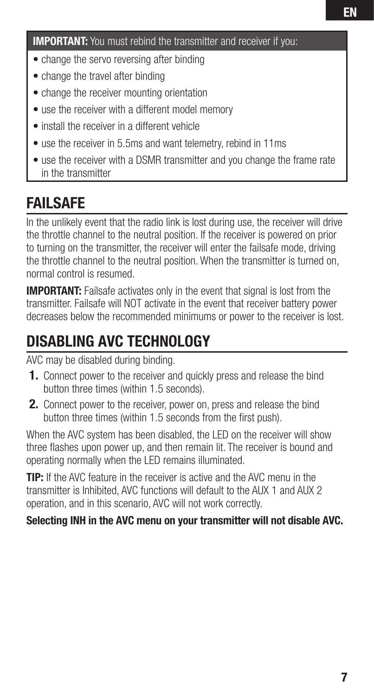IMPORTANT: You must rebind the transmitter and receiver if you:

- change the servo reversing after binding
- change the travel after binding
- change the receiver mounting orientation
- use the receiver with a different model memory
- install the receiver in a different vehicle
- use the receiver in 5.5ms and want telemetry, rebind in 11ms
- use the receiver with a DSMR transmitter and you change the frame rate in the transmitter

# FAILSAFE

In the unlikely event that the radio link is lost during use, the receiver will drive the throttle channel to the neutral position. If the receiver is powered on prior to turning on the transmitter, the receiver will enter the failsafe mode, driving the throttle channel to the neutral position. When the transmitter is turned on, normal control is resumed.

**IMPORTANT:** Failsafe activates only in the event that signal is lost from the transmitter. Failsafe will NOT activate in the event that receiver battery power decreases below the recommended minimums or power to the receiver is lost.

# DISABLING AVC TECHNOLOGY

AVC may be disabled during binding.

- 1. Connect power to the receiver and quickly press and release the bind button three times (within 1.5 seconds).
- 2. Connect power to the receiver, power on, press and release the bind button three times (within 1.5 seconds from the first push).

When the AVC system has been disabled, the LED on the receiver will show three flashes upon power up, and then remain lit. The receiver is bound and operating normally when the LED remains illuminated.

TIP: If the AVC feature in the receiver is active and the AVC menu in the transmitter is Inhibited, AVC functions will default to the AUX 1 and AUX 2 operation, and in this scenario, AVC will not work correctly.

#### Selecting INH in the AVC menu on your transmitter will not disable AVC.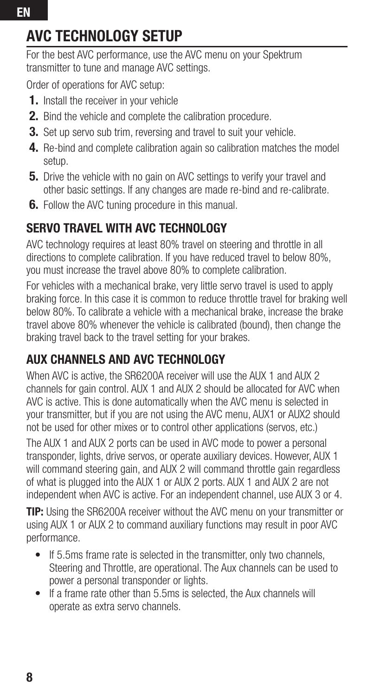# AVC TECHNOLOGY SETUP

For the best AVC performance, use the AVC menu on your Spektrum transmitter to tune and manage AVC settings.

Order of operations for AVC setup:

- 1. Install the receiver in your vehicle
- **2.** Bind the vehicle and complete the calibration procedure.
- **3.** Set up servo sub trim, reversing and travel to suit your vehicle.
- 4. Re-bind and complete calibration again so calibration matches the model setup.
- **5.** Drive the vehicle with no gain on AVC settings to verify your travel and other basic settings. If any changes are made re-bind and re-calibrate.
- **6.** Follow the AVC tuning procedure in this manual.

## SERVO TRAVEL WITH AVC TECHNOLOGY

AVC technology requires at least 80% travel on steering and throttle in all directions to complete calibration. If you have reduced travel to below 80%, you must increase the travel above 80% to complete calibration.

For vehicles with a mechanical brake, very little servo travel is used to apply braking force. In this case it is common to reduce throttle travel for braking well below 80%. To calibrate a vehicle with a mechanical brake, increase the brake travel above 80% whenever the vehicle is calibrated (bound), then change the braking travel back to the travel setting for your brakes.

## AUX CHANNELS AND AVC TECHNOLOGY

When AVC is active, the SR6200A receiver will use the AUX 1 and AUX 2 channels for gain control. AUX 1 and AUX 2 should be allocated for AVC when AVC is active. This is done automatically when the AVC menu is selected in your transmitter, but if you are not using the AVC menu, AUX1 or AUX2 should not be used for other mixes or to control other applications (servos, etc.) The AUX 1 and AUX 2 ports can be used in AVC mode to power a personal transponder, lights, drive servos, or operate auxiliary devices. However, AUX 1 will command steering gain, and AUX 2 will command throttle gain regardless of what is plugged into the AUX 1 or AUX 2 ports. AUX 1 and AUX 2 are not independent when AVC is active. For an independent channel, use AUX 3 or 4.

TIP: Using the SR6200A receiver without the AVC menu on your transmitter or using AUX 1 or AUX 2 to command auxiliary functions may result in poor AVC performance.

- If 5.5ms frame rate is selected in the transmitter, only two channels, Steering and Throttle, are operational. The Aux channels can be used to power a personal transponder or lights.
- If a frame rate other than 5.5ms is selected, the Aux channels will operate as extra servo channels.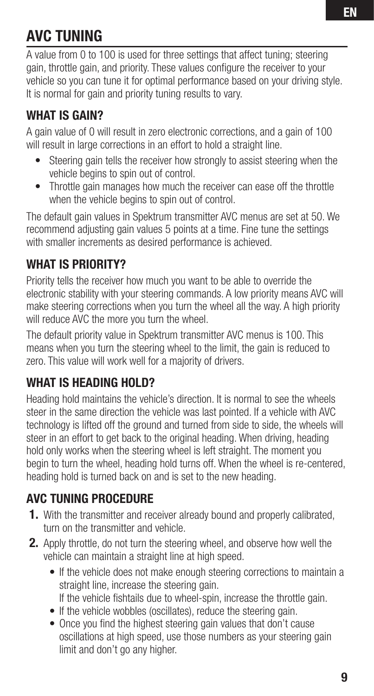# AVC TUNING

A value from 0 to 100 is used for three settings that affect tuning; steering gain, throttle gain, and priority. These values configure the receiver to your vehicle so you can tune it for optimal performance based on your driving style. It is normal for gain and priority tuning results to vary.

## WHAT IS GAIN?

A gain value of 0 will result in zero electronic corrections, and a gain of 100 will result in large corrections in an effort to hold a straight line.

- Steering gain tells the receiver how strongly to assist steering when the vehicle begins to spin out of control.
- Throttle gain manages how much the receiver can ease off the throttle when the vehicle begins to spin out of control.

The default gain values in Spektrum transmitter AVC menus are set at 50. We recommend adjusting gain values 5 points at a time. Fine tune the settings with smaller increments as desired performance is achieved.

## WHAT IS PRIORITY?

Priority tells the receiver how much you want to be able to override the electronic stability with your steering commands. A low priority means AVC will make steering corrections when you turn the wheel all the way. A high priority will reduce AVC the more you turn the wheel.

The default priority value in Spektrum transmitter AVC menus is 100. This means when you turn the steering wheel to the limit, the gain is reduced to zero. This value will work well for a majority of drivers.

## WHAT IS HEADING HOLD?

Heading hold maintains the vehicle's direction. It is normal to see the wheels steer in the same direction the vehicle was last pointed. If a vehicle with AVC technology is lifted off the ground and turned from side to side, the wheels will steer in an effort to get back to the original heading. When driving, heading hold only works when the steering wheel is left straight. The moment you begin to turn the wheel, heading hold turns off. When the wheel is re-centered, heading hold is turned back on and is set to the new heading.

## AVC TUNING PROCEDURE

- 1. With the transmitter and receiver already bound and properly calibrated, turn on the transmitter and vehicle.
- **2.** Apply throttle, do not turn the steering wheel, and observe how well the vehicle can maintain a straight line at high speed.
	- If the vehicle does not make enough steering corrections to maintain a straight line, increase the steering gain. If the vehicle fishtails due to wheel-spin, increase the throttle gain.
	- If the vehicle wobbles (oscillates), reduce the steering gain.
	- Once you find the highest steering gain values that don't cause oscillations at high speed, use those numbers as your steering gain limit and don't go any higher.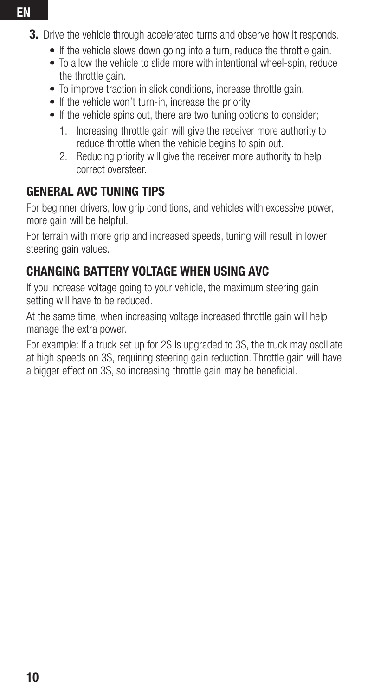- **3.** Drive the vehicle through accelerated turns and observe how it responds.
	- If the vehicle slows down going into a turn, reduce the throttle gain.
	- To allow the vehicle to slide more with intentional wheel-spin, reduce the throttle gain.
	- To improve traction in slick conditions, increase throttle gain.
	- If the vehicle won't turn-in, increase the priority.
	- If the vehicle spins out, there are two tuning options to consider;
		- 1. Increasing throttle gain will give the receiver more authority to reduce throttle when the vehicle begins to spin out.
		- 2. Reducing priority will give the receiver more authority to help correct oversteer.

## GENERAL AVC TUNING TIPS

For beginner drivers, low grip conditions, and vehicles with excessive power. more gain will be helpful.

For terrain with more grip and increased speeds, tuning will result in lower steering gain values.

## CHANGING BATTERY VOLTAGE WHEN USING AVC

If you increase voltage going to your vehicle, the maximum steering gain setting will have to be reduced.

At the same time, when increasing voltage increased throttle gain will help manage the extra power.

For example: If a truck set up for 2S is upgraded to 3S, the truck may oscillate at high speeds on 3S, requiring steering gain reduction. Throttle gain will have a bigger effect on 3S, so increasing throttle gain may be beneficial.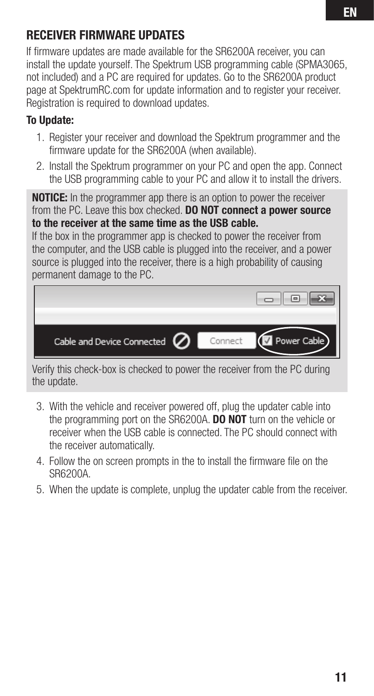#### RECEIVER FIRMWARE UPDATES

If firmware updates are made available for the SR6200A receiver, you can install the update yourself. The Spektrum USB programming cable (SPMA3065, not included) and a PC are required for updates. Go to the SR6200A product page at SpektrumRC.com for update information and to register your receiver. Registration is required to download updates.

#### To Update:

- 1. Register your receiver and download the Spektrum programmer and the firmware update for the SR6200A (when available).
- 2. Install the Spektrum programmer on your PC and open the app. Connect the USB programming cable to your PC and allow it to install the drivers.

**NOTICE:** In the programmer app there is an option to power the receiver from the PC. Leave this box checked. **DO NOT connect a power source** to the receiver at the same time as the USB cable.

If the box in the programmer app is checked to power the receiver from the computer, and the USB cable is plugged into the receiver, and a power source is plugged into the receiver, there is a high probability of causing permanent damage to the PC.

| Cable and Device Connected $\oslash$ | Power Cable<br>Connect |
|--------------------------------------|------------------------|

Verify this check-box is checked to power the receiver from the PC during the update.

- 3. With the vehicle and receiver powered off, plug the updater cable into the programming port on the SR6200A. **DO NOT** turn on the vehicle or receiver when the USB cable is connected. The PC should connect with the receiver automatically.
- 4. Follow the on screen prompts in the to install the firmware file on the SR6200A.
- 5. When the update is complete, unplug the updater cable from the receiver.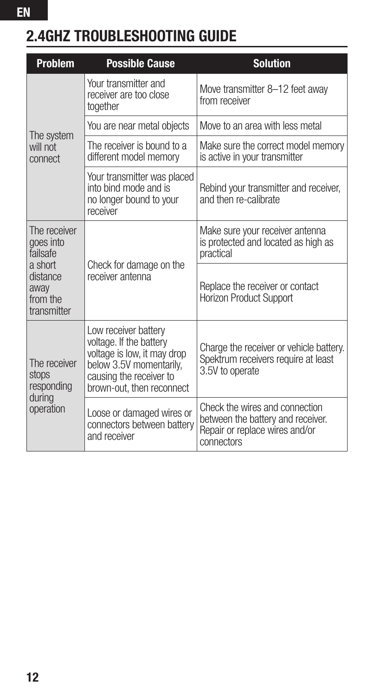# 2.4GHZ TROUBLESHOOTING GUIDE

EN

| <b>Problem</b>                                                                                  | <b>Possible Cause</b>                                                                                                                                             | <b>Solution</b>                                                                                                     |
|-------------------------------------------------------------------------------------------------|-------------------------------------------------------------------------------------------------------------------------------------------------------------------|---------------------------------------------------------------------------------------------------------------------|
| The system<br>will not<br>connect                                                               | Your transmitter and<br>receiver are too close<br>together                                                                                                        | Move transmitter 8-12 feet away<br>from receiver                                                                    |
|                                                                                                 | You are near metal objects                                                                                                                                        | Move to an area with less metal                                                                                     |
|                                                                                                 | The receiver is bound to a<br>different model memory                                                                                                              | Make sure the correct model memory<br>is active in your transmitter                                                 |
|                                                                                                 | Your transmitter was placed<br>into bind mode and is<br>no longer bound to your<br>receiver                                                                       | Rebind your transmitter and receiver,<br>and then re-calibrate                                                      |
| The receiver<br>goes into<br>failsafe<br>a short<br>distance<br>away<br>from the<br>transmitter | Check for damage on the<br>receiver antenna                                                                                                                       | Make sure your receiver antenna<br>is protected and located as high as<br>practical                                 |
|                                                                                                 |                                                                                                                                                                   | Replace the receiver or contact<br><b>Horizon Product Support</b>                                                   |
| The receiver<br>stops<br>responding<br>during<br>operation                                      | Low receiver battery<br>voltage. If the battery<br>voltage is low, it may drop<br>below 3.5V momentarily,<br>causing the receiver to<br>brown-out, then reconnect | Charge the receiver or vehicle battery.<br>Spektrum receivers require at least<br>3.5V to operate                   |
|                                                                                                 | Loose or damaged wires or<br>connectors between battery<br>and receiver                                                                                           | Check the wires and connection<br>between the battery and receiver.<br>Repair or replace wires and/or<br>connectors |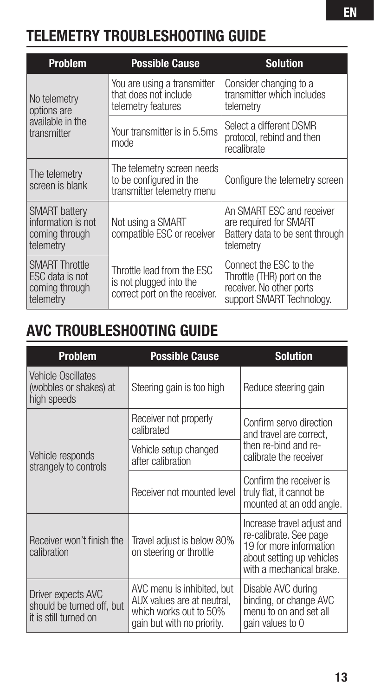# TELEMETRY TROUBLESHOOTING GUIDE

| <b>Problem</b>                                                            | <b>Possible Cause</b>                                                                  | <b>Solution</b>                                                                                               |
|---------------------------------------------------------------------------|----------------------------------------------------------------------------------------|---------------------------------------------------------------------------------------------------------------|
| No telemetry<br>options are<br>available in the<br>transmitter            | You are using a transmitter<br>that does not include<br>telemetry features             | Consider changing to a<br>transmitter which includes<br>telemetry                                             |
|                                                                           | Your transmitter is in 5.5ms<br>mode                                                   | Select a different DSMR<br>protocol, rebind and then<br>recalibrate                                           |
| The telemetry<br>screen is blank                                          | The telemetry screen needs<br>to be configured in the<br>transmitter telemetry menu    | Configure the telemetry screen                                                                                |
| <b>SMART</b> battery<br>information is not<br>coming through<br>telemetry | Not using a SMART<br>compatible ESC or receiver                                        | An SMART ESC and receiver<br>are required for SMART<br>Battery data to be sent through<br>telemetry           |
| <b>SMART Throttle</b><br>ESC data is not<br>coming through<br>telemetry   | Throttle lead from the ESC<br>is not plugged into the<br>correct port on the receiver. | Connect the ESC to the<br>Throttle (THR) port on the<br>receiver. No other ports<br>support SMART Technology. |

# AVC TROUBLESHOOTING GUIDE

| <b>Problem</b>                                                           | <b>Possible Cause</b>                                                                                            | <b>Solution</b>                                                                                                                          |  |
|--------------------------------------------------------------------------|------------------------------------------------------------------------------------------------------------------|------------------------------------------------------------------------------------------------------------------------------------------|--|
| <b>Vehicle Oscillates</b><br>(wobbles or shakes) at<br>high speeds       | Steering gain is too high                                                                                        | Reduce steering gain                                                                                                                     |  |
|                                                                          | Receiver not properly<br>calibrated                                                                              | Confirm servo direction<br>and travel are correct.                                                                                       |  |
| Vehicle responds<br>strangely to controls                                | Vehicle setup changed<br>after calibration                                                                       | then re-bind and re-<br>calibrate the receiver                                                                                           |  |
|                                                                          | Receiver not mounted level                                                                                       | Confirm the receiver is<br>truly flat, it cannot be<br>mounted at an odd angle.                                                          |  |
| Receiver won't finish the<br>calibration                                 | Travel adjust is below 80%<br>on steering or throttle                                                            | Increase travel adjust and<br>re-calibrate. See page<br>19 for more information<br>about setting up vehicles<br>with a mechanical brake. |  |
| Driver expects AVC<br>should be turned off, but<br>it is still turned on | AVC menu is inhibited, but<br>AUX values are at neutral.<br>which works out to 50%<br>gain but with no priority. | Disable AVC during<br>binding, or change AVC<br>menu to on and set all<br>gain values to 0                                               |  |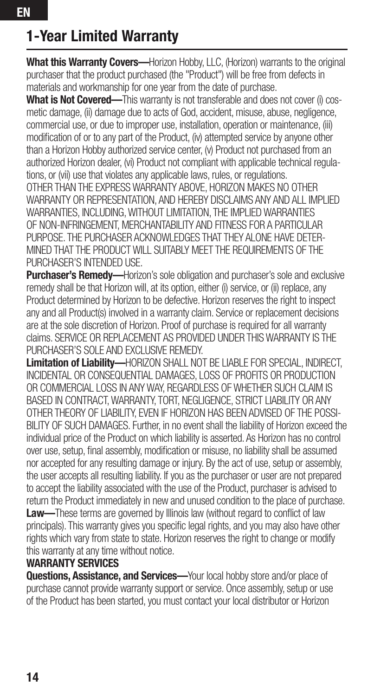# 1-Year Limited Warranty

What this Warranty Covers-Horizon Hobby, LLC, (Horizon) warrants to the original purchaser that the product purchased (the "Product") will be free from defects in materials and workmanship for one year from the date of purchase.

What is Not Covered—This warranty is not transferable and does not cover (i) cosmetic damage, (ii) damage due to acts of God, accident, misuse, abuse, negligence, commercial use, or due to improper use, installation, operation or maintenance, (iii) modification of or to any part of the Product, (iv) attempted service by anyone other than a Horizon Hobby authorized service center, (v) Product not purchased from an authorized Horizon dealer, (vi) Product not compliant with applicable technical regulations, or (vii) use that violates any applicable laws, rules, or regulations. OTHER THAN THE EXPRESS WARRANTY ABOVE, HORIZON MAKES NO OTHER WARRANTY OR REPRESENTATION, AND HEREBY DISCLAIMS ANY AND ALL IMPLIED WARRANTIES, INCLUDING, WITHOUT LIMITATION, THE IMPLIED WARRANTIES OF NON-INFRINGEMENT, MERCHANTABILITY AND FITNESS FOR A PARTICULAR PURPOSE. THE PURCHASER ACKNOWLEDGES THAT THEY ALONE HAVE DETER-MINED THAT THE PRODUCT WILL SUITABLY MEET THE REQUIREMENTS OF THE PURCHASER'S INTENDED LISE.

**Purchaser's Remedy—Horizon's sole obligation and purchaser's sole and exclusive** remedy shall be that Horizon will, at its option, either (i) service, or (ii) replace, any Product determined by Horizon to be defective. Horizon reserves the right to inspect any and all Product(s) involved in a warranty claim. Service or replacement decisions are at the sole discretion of Horizon. Proof of purchase is required for all warranty claims. SERVICE OR REPLACEMENT AS PROVIDED UNDER THIS WARRANTY IS THE PURCHASER'S SOLE AND EXCLUSIVE REMEDY.

Limitation of Liability-HORIZON SHALL NOT BE LIABLE FOR SPECIAL, INDIRECT, INCIDENTAL OR CONSEQUENTIAL DAMAGES, LOSS OF PROFITS OR PRODUCTION OR COMMERCIAL LOSS IN ANY WAY, REGARDLESS OF WHETHER SUCH CLAIM IS BASED IN CONTRACT, WARRANTY, TORT, NEGLIGENCE, STRICT LIABILITY OR ANY OTHER THEORY OF LIABILITY, EVEN IF HORIZON HAS BEEN ADVISED OF THE POSSI-BILITY OF SUCH DAMAGES. Further, in no event shall the liability of Horizon exceed the individual price of the Product on which liability is asserted. As Horizon has no control over use, setup, final assembly, modification or misuse, no liability shall be assumed nor accepted for any resulting damage or injury. By the act of use, setup or assembly, the user accepts all resulting liability. If you as the purchaser or user are not prepared to accept the liability associated with the use of the Product, purchaser is advised to return the Product immediately in new and unused condition to the place of purchase. Law—These terms are governed by Illinois law (without regard to conflict of law principals). This warranty gives you specific legal rights, and you may also have other rights which vary from state to state. Horizon reserves the right to change or modify this warranty at any time without notice.

#### WARRANTY SERVICES

Questions, Assistance, and Services-Your local hobby store and/or place of purchase cannot provide warranty support or service. Once assembly, setup or use of the Product has been started, you must contact your local distributor or Horizon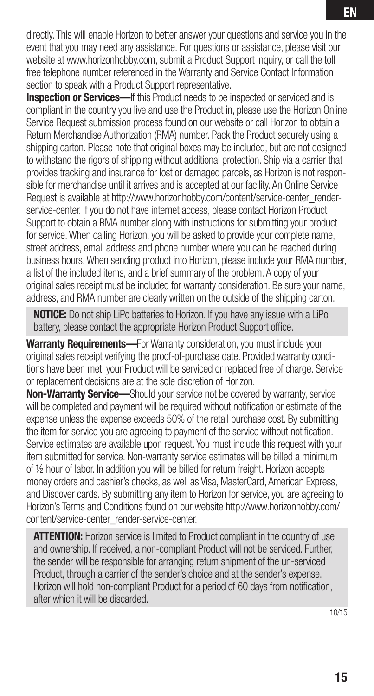directly. This will enable Horizon to better answer your questions and service you in the event that you may need any assistance. For questions or assistance, please visit our website at www.horizonhobby.com, submit a Product Support Inquiry, or call the toll free telephone number referenced in the Warranty and Service Contact Information section to speak with a Product Support representative.

**Inspection or Services—If this Product needs to be inspected or serviced and is** compliant in the country you live and use the Product in, please use the Horizon Online Service Request submission process found on our website or call Horizon to obtain a Return Merchandise Authorization (RMA) number. Pack the Product securely using a shipping carton. Please note that original boxes may be included, but are not designed to withstand the rigors of shipping without additional protection. Ship via a carrier that provides tracking and insurance for lost or damaged parcels, as Horizon is not responsible for merchandise until it arrives and is accepted at our facility. An Online Service Request is available at http://www.horizonhobby.com/content/service-center\_renderservice-center. If you do not have internet access, please contact Horizon Product Support to obtain a RMA number along with instructions for submitting your product for service. When calling Horizon, you will be asked to provide your complete name, street address, email address and phone number where you can be reached during business hours. When sending product into Horizon, please include your RMA number, a list of the included items, and a brief summary of the problem. A copy of your original sales receipt must be included for warranty consideration. Be sure your name, address, and RMA number are clearly written on the outside of the shipping carton.

**NOTICE:** Do not ship LiPo batteries to Horizon. If you have any issue with a LiPo battery, please contact the appropriate Horizon Product Support office.

Warranty Requirements-For Warranty consideration, you must include your original sales receipt verifying the proof-of-purchase date. Provided warranty conditions have been met, your Product will be serviced or replaced free of charge. Service or replacement decisions are at the sole discretion of Horizon.

Non-Warranty Service-Should your service not be covered by warranty, service will be completed and payment will be required without notification or estimate of the expense unless the expense exceeds 50% of the retail purchase cost. By submitting the item for service you are agreeing to payment of the service without notification. Service estimates are available upon request. You must include this request with your item submitted for service. Non-warranty service estimates will be billed a minimum of ½ hour of labor. In addition you will be billed for return freight. Horizon accepts money orders and cashier's checks, as well as Visa, MasterCard, American Express, and Discover cards. By submitting any item to Horizon for service, you are agreeing to Horizon's Terms and Conditions found on our website http://www.horizonhobby.com/ content/service-center\_render-service-center.

**ATTENTION:** Horizon service is limited to Product compliant in the country of use and ownership. If received, a non-compliant Product will not be serviced. Further, the sender will be responsible for arranging return shipment of the un-serviced Product, through a carrier of the sender's choice and at the sender's expense. Horizon will hold non-compliant Product for a period of 60 days from notification, after which it will be discarded.

10/15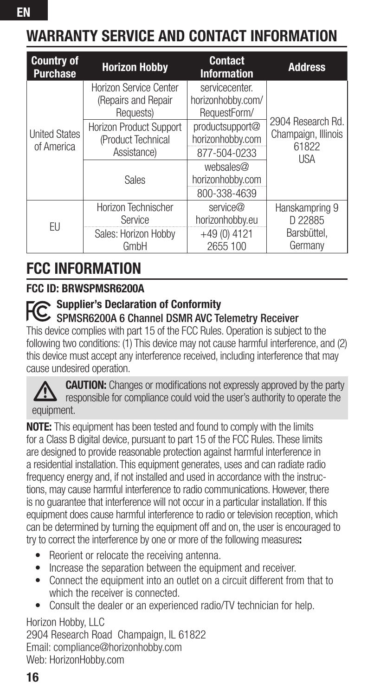| <b>Country of</b><br><b>Purchase</b> | <b>Horizon Hobby</b>                                       | <b>Contact</b><br><b>Information</b>                | <b>Address</b>                                    |
|--------------------------------------|------------------------------------------------------------|-----------------------------------------------------|---------------------------------------------------|
| <b>United States</b><br>of America   | Horizon Service Center<br>(Repairs and Repair<br>Requests) | servicecenter.<br>horizonhobby.com/<br>RequestForm/ |                                                   |
|                                      | Horizon Product Support<br>(Product Technical              | productsupport@<br>horizonhobby.com                 | 2904 Research Rd.<br>Champaign, Illinois<br>61822 |
|                                      | Assistance)                                                | 877-504-0233                                        | <b>USA</b>                                        |
|                                      | Sales                                                      | websales@<br>horizonhobby.com                       |                                                   |
|                                      | Horizon Technischer                                        | 800-338-4639<br>service@                            |                                                   |
| EU                                   | Service                                                    | horizonhobby.eu                                     | Hanskampring 9<br>D 22885                         |
|                                      | Sales: Horizon Hobby<br>GmbH                               | $+49(0)4121$<br>2655 100                            | Barsbüttel.<br>Germany                            |

# FCC INFORMATION

#### FCC ID: BRWSPMSR6200A

#### Supplier's Declaration of Conformity

#### SPMSR6200A 6 Channel DSMR AVC Telemetry Receiver

This device complies with part 15 of the FCC Rules. Operation is subject to the following two conditions: (1) This device may not cause harmful interference, and (2) this device must accept any interference received, including interference that may cause undesired operation.

**CAUTION:** Changes or modifications not expressly approved by the party responsible for compliance could void the user's authority to operate the equipment.

NOTE: This equipment has been tested and found to comply with the limits for a Class B digital device, pursuant to part 15 of the FCC Rules. These limits are designed to provide reasonable protection against harmful interference in a residential installation. This equipment generates, uses and can radiate radio frequency energy and, if not installed and used in accordance with the instructions, may cause harmful interference to radio communications. However, there is no guarantee that interference will not occur in a particular installation. If this equipment does cause harmful interference to radio or television reception, which can be determined by turning the equipment off and on, the user is encouraged to try to correct the interference by one or more of the following measures:

- Reorient or relocate the receiving antenna.
- Increase the separation between the equipment and receiver.
- Connect the equipment into an outlet on a circuit different from that to which the receiver is connected.
- Consult the dealer or an experienced radio/TV technician for help.

Horizon Hobby, LLC 2904 Research Road Champaign, IL 61822 Email: compliance@horizonhobby.com Web: HorizonHobby.com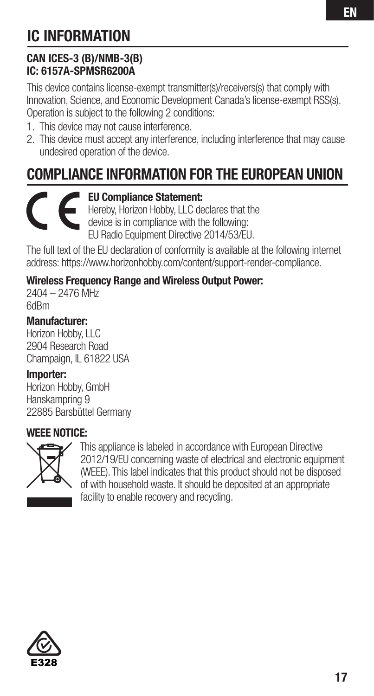# IC INFORMATION

#### CAN ICES-3 (B)/NMB-3(B) IC: 6157A-SPMSR6200A

This device contains license-exempt transmitter(s)/receivers(s) that comply with Innovation, Science, and Economic Development Canada's license-exempt RSS(s). Operation is subject to the following 2 conditions:

- 1. This device may not cause interference.
- 2. This device must accept any interference, including interference that may cause undesired operation of the device.

# COMPLIANCE INFORMATION FOR THE EUROPEAN UNION

#### EU Compliance Statement:

Hereby, Horizon Hobby, LLC declares that the device is in compliance with the following: EU Radio Equipment Directive 2014/53/EU.

The full text of the EU declaration of conformity is available at the following internet address: https://www.horizonhobby.com/content/support-render-compliance.

#### Wireless Frequency Range and Wireless Output Power:

2404 – 2476 MHz 6dBm

Manufacturer: Horizon Hobby, LLC 2904 Research Road Champaign, IL 61822 USA

#### Importer:

Horizon Hobby, GmbH Hanskampring 9 22885 Barsbüttel Germany

#### WEEE NOTICE:



This appliance is labeled in accordance with European Directive 2012/19/EU concerning waste of electrical and electronic equipment (WEEE). This label indicates that this product should not be disposed of with household waste. It should be deposited at an appropriate facility to enable recovery and recycling.